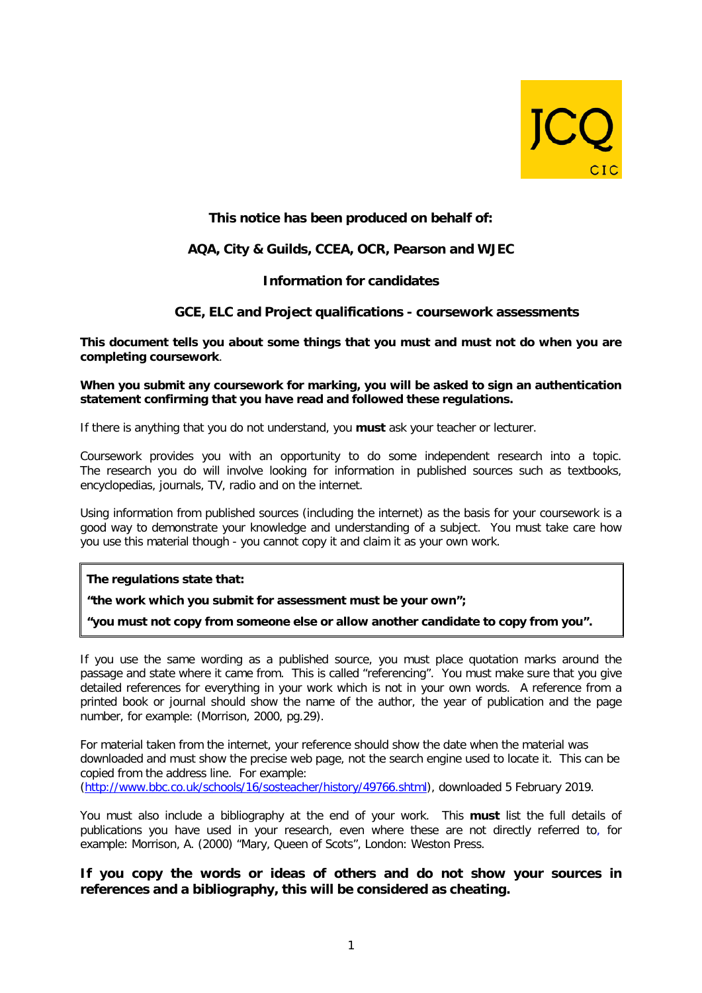

# **This notice has been produced on behalf of:**

## **AQA, City & Guilds, CCEA, OCR, Pearson and WJEC**

## **Information for candidates**

### **GCE, ELC and Project qualifications - coursework assessments**

**This document tells you about some things that you must and must not do when you are completing coursework**.

#### **When you submit any coursework for marking, you will be asked to sign an authentication statement confirming that you have read and followed these regulations.**

If there is anything that you do not understand, you **must** ask your teacher or lecturer.

Coursework provides you with an opportunity to do some independent research into a topic. The research you do will involve looking for information in published sources such as textbooks, encyclopedias, journals, TV, radio and on the internet.

Using information from published sources (including the internet) as the basis for your coursework is a good way to demonstrate your knowledge and understanding of a subject. You must take care how you use this material though - you cannot copy it and claim it as your own work.

**The regulations state that:**

**"the work which you submit for assessment must be your own";**

**"you must not copy from someone else or allow another candidate to copy from you".**

If you use the same wording as a published source, you must place quotation marks around the passage and state where it came from. This is called "referencing". You must make sure that you give detailed references for everything in your work which is not in your own words. A reference from a printed book or journal should show the name of the author, the year of publication and the page number, for example: (Morrison, 2000, pg.29).

For material taken from the internet, your reference should show the date when the material was downloaded and must show the precise web page, not the search engine used to locate it. This can be copied from the address line. For example: [\(http://www.bbc.co.uk/schools/16/sosteacher/history/49766.shtml\)](http://www.bbc.co.uk/schools/16/sosteacher/history/49766.shtml), downloaded 5 February 2019.

You must also include a bibliography at the end of your work. This **must** list the full details of publications you have used in your research, even where these are not directly referred to, for example: Morrison, A. (2000) "Mary, Queen of Scots", London: Weston Press.

## **If you copy the words or ideas of others and do not show your sources in references and a bibliography, this will be considered as cheating.**